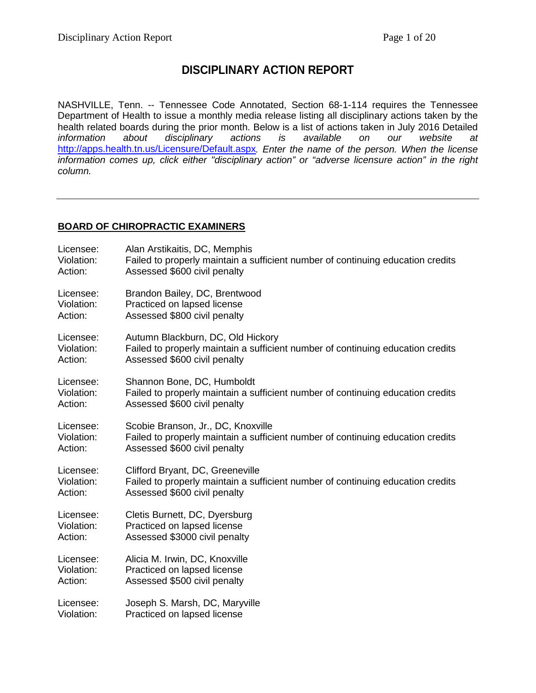# **DISCIPLINARY ACTION REPORT**

NASHVILLE, Tenn. -- Tennessee Code Annotated, Section 68-1-114 requires the Tennessee Department of Health to issue a monthly media release listing all disciplinary actions taken by the health related boards during the prior month. Below is a list of actions taken in July 2016 Detailed<br>
information about disciplinary actions is available on our website at disciplinary actions is available on our website at <http://apps.health.tn.us/Licensure/Default.aspx>*. Enter the name of the person. When the license information comes up, click either "disciplinary action" or "adverse licensure action" in the right column.*

#### **BOARD OF CHIROPRACTIC EXAMINERS**

| Licensee:  | Alan Arstikaitis, DC, Memphis                                                   |
|------------|---------------------------------------------------------------------------------|
| Violation: | Failed to properly maintain a sufficient number of continuing education credits |
| Action:    | Assessed \$600 civil penalty                                                    |
| Licensee:  | Brandon Bailey, DC, Brentwood                                                   |
| Violation: | Practiced on lapsed license                                                     |
| Action:    | Assessed \$800 civil penalty                                                    |
| Licensee:  | Autumn Blackburn, DC, Old Hickory                                               |
| Violation: | Failed to properly maintain a sufficient number of continuing education credits |
| Action:    | Assessed \$600 civil penalty                                                    |
| Licensee:  | Shannon Bone, DC, Humboldt                                                      |
| Violation: | Failed to properly maintain a sufficient number of continuing education credits |
| Action:    | Assessed \$600 civil penalty                                                    |
| Licensee:  | Scobie Branson, Jr., DC, Knoxville                                              |
| Violation: | Failed to properly maintain a sufficient number of continuing education credits |
| Action:    | Assessed \$600 civil penalty                                                    |
| Licensee:  | Clifford Bryant, DC, Greeneville                                                |
| Violation: | Failed to properly maintain a sufficient number of continuing education credits |
| Action:    | Assessed \$600 civil penalty                                                    |
| Licensee:  | Cletis Burnett, DC, Dyersburg                                                   |
| Violation: | Practiced on lapsed license                                                     |
| Action:    | Assessed \$3000 civil penalty                                                   |
| Licensee:  | Alicia M. Irwin, DC, Knoxville                                                  |
| Violation: | Practiced on lapsed license                                                     |
| Action:    | Assessed \$500 civil penalty                                                    |
| Licensee:  | Joseph S. Marsh, DC, Maryville                                                  |
| Violation: | Practiced on lapsed license                                                     |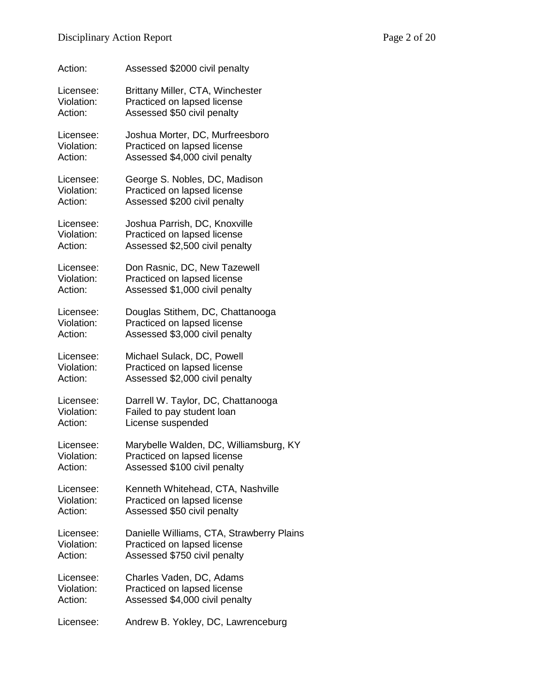| Action:    | Assessed \$2000 civil penalty             |
|------------|-------------------------------------------|
| Licensee:  | Brittany Miller, CTA, Winchester          |
| Violation: | Practiced on lapsed license               |
| Action:    | Assessed \$50 civil penalty               |
| Licensee:  | Joshua Morter, DC, Murfreesboro           |
| Violation: | Practiced on lapsed license               |
| Action:    | Assessed \$4,000 civil penalty            |
| Licensee:  | George S. Nobles, DC, Madison             |
| Violation: | Practiced on lapsed license               |
| Action:    | Assessed \$200 civil penalty              |
| Licensee:  | Joshua Parrish, DC, Knoxville             |
| Violation: | Practiced on lapsed license               |
| Action:    | Assessed \$2,500 civil penalty            |
| Licensee:  | Don Rasnic, DC, New Tazewell              |
| Violation: | Practiced on lapsed license               |
| Action:    | Assessed \$1,000 civil penalty            |
| Licensee:  | Douglas Stithem, DC, Chattanooga          |
| Violation: | Practiced on lapsed license               |
| Action:    | Assessed \$3,000 civil penalty            |
| Licensee:  | Michael Sulack, DC, Powell                |
| Violation: | Practiced on lapsed license               |
| Action:    | Assessed \$2,000 civil penalty            |
| Licensee:  | Darrell W. Taylor, DC, Chattanooga        |
| Violation: | Failed to pay student loan                |
| Action:    | License suspended                         |
| Licensee:  | Marybelle Walden, DC, Williamsburg, KY    |
| Violation: | Practiced on lapsed license               |
| Action:    | Assessed \$100 civil penalty              |
| Licensee:  | Kenneth Whitehead, CTA, Nashville         |
| Violation: | Practiced on lapsed license               |
| Action:    | Assessed \$50 civil penalty               |
| Licensee:  | Danielle Williams, CTA, Strawberry Plains |
| Violation: | Practiced on lapsed license               |
| Action:    | Assessed \$750 civil penalty              |
| Licensee:  | Charles Vaden, DC, Adams                  |
| Violation: | Practiced on lapsed license               |
| Action:    | Assessed \$4,000 civil penalty            |
| Licensee:  | Andrew B. Yokley, DC, Lawrenceburg        |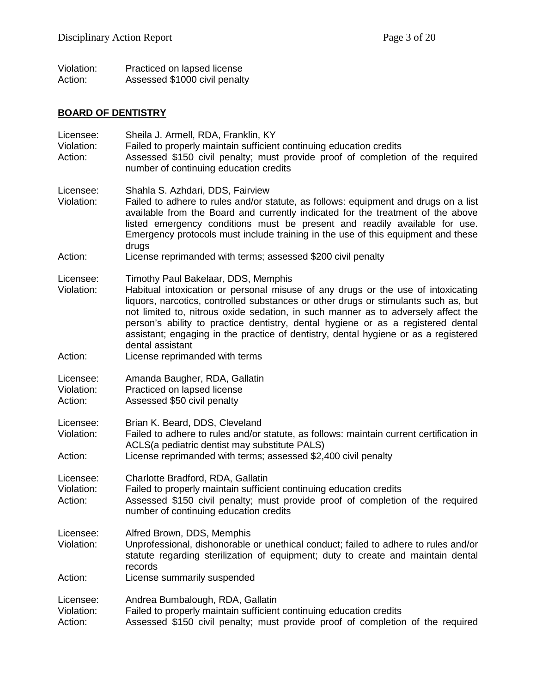| Violation: | Practiced on lapsed license   |
|------------|-------------------------------|
| Action:    | Assessed \$1000 civil penalty |

# **BOARD OF DENTISTRY**

| Licensee:<br>Violation:<br>Action: | Sheila J. Armell, RDA, Franklin, KY<br>Failed to properly maintain sufficient continuing education credits<br>Assessed \$150 civil penalty; must provide proof of completion of the required<br>number of continuing education credits                                                                                                                                                                                                                                                             |
|------------------------------------|----------------------------------------------------------------------------------------------------------------------------------------------------------------------------------------------------------------------------------------------------------------------------------------------------------------------------------------------------------------------------------------------------------------------------------------------------------------------------------------------------|
| Licensee:<br>Violation:            | Shahla S. Azhdari, DDS, Fairview<br>Failed to adhere to rules and/or statute, as follows: equipment and drugs on a list<br>available from the Board and currently indicated for the treatment of the above<br>listed emergency conditions must be present and readily available for use.<br>Emergency protocols must include training in the use of this equipment and these<br>drugs                                                                                                              |
| Action:                            | License reprimanded with terms; assessed \$200 civil penalty                                                                                                                                                                                                                                                                                                                                                                                                                                       |
| Licensee:<br>Violation:            | Timothy Paul Bakelaar, DDS, Memphis<br>Habitual intoxication or personal misuse of any drugs or the use of intoxicating<br>liquors, narcotics, controlled substances or other drugs or stimulants such as, but<br>not limited to, nitrous oxide sedation, in such manner as to adversely affect the<br>person's ability to practice dentistry, dental hygiene or as a registered dental<br>assistant; engaging in the practice of dentistry, dental hygiene or as a registered<br>dental assistant |
| Action:                            | License reprimanded with terms                                                                                                                                                                                                                                                                                                                                                                                                                                                                     |
| Licensee:<br>Violation:<br>Action: | Amanda Baugher, RDA, Gallatin<br>Practiced on lapsed license<br>Assessed \$50 civil penalty                                                                                                                                                                                                                                                                                                                                                                                                        |
| Licensee:<br>Violation:<br>Action: | Brian K. Beard, DDS, Cleveland<br>Failed to adhere to rules and/or statute, as follows: maintain current certification in<br>ACLS(a pediatric dentist may substitute PALS)<br>License reprimanded with terms; assessed \$2,400 civil penalty                                                                                                                                                                                                                                                       |
| Licensee:<br>Violation:<br>Action: | Charlotte Bradford, RDA, Gallatin<br>Failed to properly maintain sufficient continuing education credits<br>Assessed \$150 civil penalty; must provide proof of completion of the required<br>number of continuing education credits                                                                                                                                                                                                                                                               |
| Licensee:<br>Violation:            | Alfred Brown, DDS, Memphis<br>Unprofessional, dishonorable or unethical conduct; failed to adhere to rules and/or<br>statute regarding sterilization of equipment; duty to create and maintain dental<br>records                                                                                                                                                                                                                                                                                   |
| Action:                            | License summarily suspended                                                                                                                                                                                                                                                                                                                                                                                                                                                                        |
| Licensee:<br>Violation:<br>Action: | Andrea Bumbalough, RDA, Gallatin<br>Failed to properly maintain sufficient continuing education credits<br>Assessed \$150 civil penalty; must provide proof of completion of the required                                                                                                                                                                                                                                                                                                          |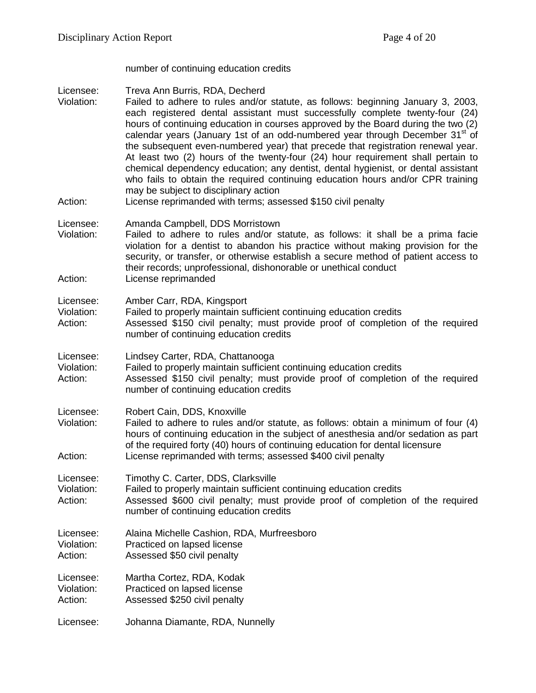number of continuing education credits

Licensee: Treva Ann Burris, RDA, Decherd<br>Violation: Failed to adhere to rules and/or

- Failed to adhere to rules and/or statute, as follows: beginning January 3, 2003, each registered dental assistant must successfully complete twenty-four (24) hours of continuing education in courses approved by the Board during the two (2) calendar years (January 1st of an odd-numbered year through December 31<sup>st</sup> of the subsequent even-numbered year) that precede that registration renewal year. At least two (2) hours of the twenty-four (24) hour requirement shall pertain to chemical dependency education; any dentist, dental hygienist, or dental assistant who fails to obtain the required continuing education hours and/or CPR training may be subject to disciplinary action
- Action: License reprimanded with terms; assessed \$150 civil penalty
- Licensee: Amanda Campbell, DDS Morristown
- Violation: Failed to adhere to rules and/or statute, as follows: it shall be a prima facie violation for a dentist to abandon his practice without making provision for the security, or transfer, or otherwise establish a secure method of patient access to their records; unprofessional, dishonorable or unethical conduct Action: License reprimanded
- Licensee: Amber Carr, RDA, Kingsport
- 
- Violation: Failed to properly maintain sufficient continuing education credits<br>Action: Assessed \$150 civil penalty: must provide proof of completion Assessed \$150 civil penalty; must provide proof of completion of the required number of continuing education credits
- Licensee: Lindsey Carter, RDA, Chattanooga
- Violation: Failed to properly maintain sufficient continuing education credits
- Action: Assessed \$150 civil penalty; must provide proof of completion of the required number of continuing education credits
- Licensee: Robert Cain, DDS, Knoxville<br>Violation: Failed to adhere to rules and
- Failed to adhere to rules and/or statute, as follows: obtain a minimum of four (4) hours of continuing education in the subject of anesthesia and/or sedation as part of the required forty (40) hours of continuing education for dental licensure Action: License reprimanded with terms; assessed \$400 civil penalty
- Licensee: Timothy C. Carter, DDS, Clarksville<br>Violation: Failed to properly maintain sufficient
- Failed to properly maintain sufficient continuing education credits Action: Assessed \$600 civil penalty; must provide proof of completion of the required number of continuing education credits
- Licensee: Alaina Michelle Cashion, RDA, Murfreesboro Violation: Practiced on lapsed license Action: Assessed \$50 civil penalty
- 
- Licensee: Martha Cortez, RDA, Kodak<br>Violation: Practiced on lapsed license Practiced on lapsed license
- Action: Assessed \$250 civil penalty
- Licensee: Johanna Diamante, RDA, Nunnelly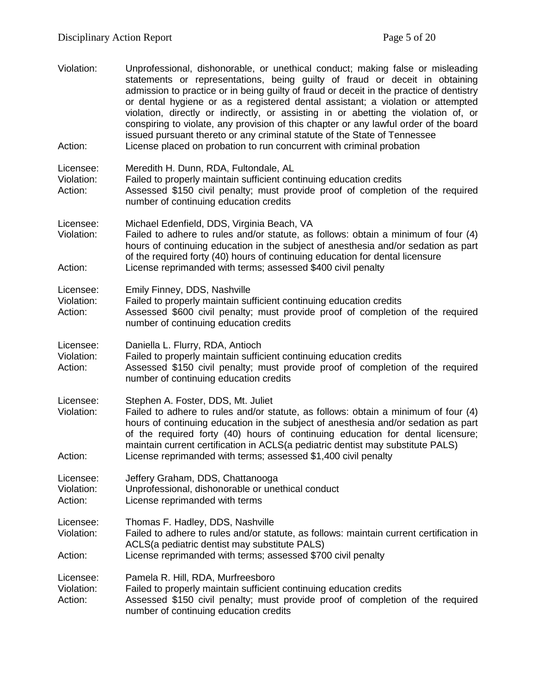Violation: Unprofessional, dishonorable, or unethical conduct; making false or misleading statements or representations, being guilty of fraud or deceit in obtaining admission to practice or in being guilty of fraud or deceit in the practice of dentistry or dental hygiene or as a registered dental assistant; a violation or attempted violation, directly or indirectly, or assisting in or abetting the violation of, or conspiring to violate, any provision of this chapter or any lawful order of the board issued pursuant thereto or any criminal statute of the State of Tennessee Action: License placed on probation to run concurrent with criminal probation Licensee: Meredith H. Dunn, RDA, Fultondale, AL<br>Violation: Failed to properly maintain sufficient cor Failed to properly maintain sufficient continuing education credits Action: Assessed \$150 civil penalty; must provide proof of completion of the required number of continuing education credits Licensee: Michael Edenfield, DDS, Virginia Beach, VA Violation: Failed to adhere to rules and/or statute, as follows: obtain a minimum of four (4) hours of continuing education in the subject of anesthesia and/or sedation as part of the required forty (40) hours of continuing education for dental licensure Action: License reprimanded with terms; assessed \$400 civil penalty Licensee: Emily Finney, DDS, Nashville Violation: Failed to properly maintain sufficient continuing education credits Action: Assessed \$600 civil penalty; must provide proof of completion of the required number of continuing education credits Licensee: Daniella L. Flurry, RDA, Antioch Violation: Failed to properly maintain sufficient continuing education credits Action: Assessed \$150 civil penalty; must provide proof of completion of the required number of continuing education credits Licensee: Stephen A. Foster, DDS, Mt. Juliet Violation: Failed to adhere to rules and/or statute, as follows: obtain a minimum of four (4) hours of continuing education in the subject of anesthesia and/or sedation as part of the required forty (40) hours of continuing education for dental licensure; maintain current certification in ACLS(a pediatric dentist may substitute PALS) Action: License reprimanded with terms; assessed \$1,400 civil penalty Licensee: Jeffery Graham, DDS, Chattanooga<br>Violation: Unprofessional. dishonorable or une Unprofessional, dishonorable or unethical conduct Action: License reprimanded with terms Licensee: Thomas F. Hadley, DDS, Nashville Violation: Failed to adhere to rules and/or statute, as follows: maintain current certification in ACLS(a pediatric dentist may substitute PALS) Action: License reprimanded with terms; assessed \$700 civil penalty Licensee: Pamela R. Hill, RDA, Murfreesboro<br>Violation: Failed to properly maintain sufficien Failed to properly maintain sufficient continuing education credits Action: Assessed \$150 civil penalty; must provide proof of completion of the required number of continuing education credits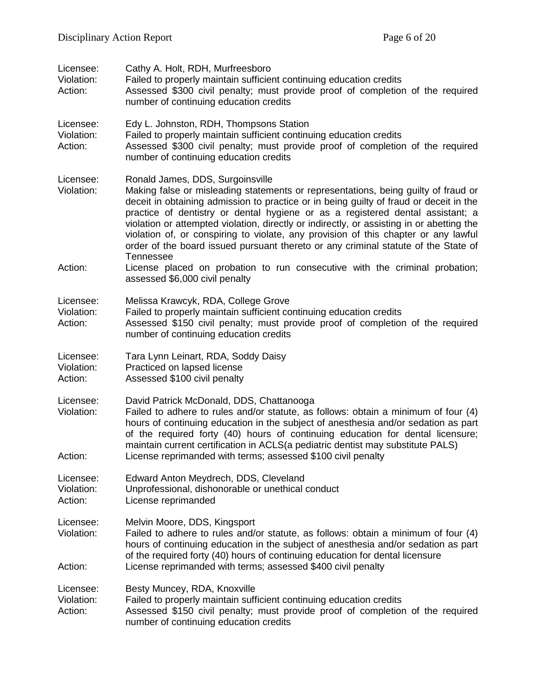| Licensee:<br>Violation:<br>Action: | Cathy A. Holt, RDH, Murfreesboro<br>Failed to properly maintain sufficient continuing education credits<br>Assessed \$300 civil penalty; must provide proof of completion of the required<br>number of continuing education credits                                                                                                                                                                                                                                                                                                                                                                                                                                                                        |
|------------------------------------|------------------------------------------------------------------------------------------------------------------------------------------------------------------------------------------------------------------------------------------------------------------------------------------------------------------------------------------------------------------------------------------------------------------------------------------------------------------------------------------------------------------------------------------------------------------------------------------------------------------------------------------------------------------------------------------------------------|
| Licensee:<br>Violation:<br>Action: | Edy L. Johnston, RDH, Thompsons Station<br>Failed to properly maintain sufficient continuing education credits<br>Assessed \$300 civil penalty; must provide proof of completion of the required<br>number of continuing education credits                                                                                                                                                                                                                                                                                                                                                                                                                                                                 |
| Licensee:<br>Violation:<br>Action: | Ronald James, DDS, Surgoinsville<br>Making false or misleading statements or representations, being guilty of fraud or<br>deceit in obtaining admission to practice or in being guilty of fraud or deceit in the<br>practice of dentistry or dental hygiene or as a registered dental assistant; a<br>violation or attempted violation, directly or indirectly, or assisting in or abetting the<br>violation of, or conspiring to violate, any provision of this chapter or any lawful<br>order of the board issued pursuant thereto or any criminal statute of the State of<br>Tennessee<br>License placed on probation to run consecutive with the criminal probation;<br>assessed \$6,000 civil penalty |
| Licensee:<br>Violation:<br>Action: | Melissa Krawcyk, RDA, College Grove<br>Failed to properly maintain sufficient continuing education credits<br>Assessed \$150 civil penalty; must provide proof of completion of the required<br>number of continuing education credits                                                                                                                                                                                                                                                                                                                                                                                                                                                                     |
| Licensee:<br>Violation:<br>Action: | Tara Lynn Leinart, RDA, Soddy Daisy<br>Practiced on lapsed license<br>Assessed \$100 civil penalty                                                                                                                                                                                                                                                                                                                                                                                                                                                                                                                                                                                                         |
| Licensee:<br>Violation:<br>Action: | David Patrick McDonald, DDS, Chattanooga<br>Failed to adhere to rules and/or statute, as follows: obtain a minimum of four (4)<br>hours of continuing education in the subject of anesthesia and/or sedation as part<br>of the required forty (40) hours of continuing education for dental licensure;<br>maintain current certification in ACLS(a pediatric dentist may substitute PALS)<br>License reprimanded with terms; assessed \$100 civil penalty                                                                                                                                                                                                                                                  |
| Licensee:<br>Violation:<br>Action: | Edward Anton Meydrech, DDS, Cleveland<br>Unprofessional, dishonorable or unethical conduct<br>License reprimanded                                                                                                                                                                                                                                                                                                                                                                                                                                                                                                                                                                                          |
| Licensee:<br>Violation:<br>Action: | Melvin Moore, DDS, Kingsport<br>Failed to adhere to rules and/or statute, as follows: obtain a minimum of four (4)<br>hours of continuing education in the subject of anesthesia and/or sedation as part<br>of the required forty (40) hours of continuing education for dental licensure<br>License reprimanded with terms; assessed \$400 civil penalty                                                                                                                                                                                                                                                                                                                                                  |
| Licensee:<br>Violation:<br>Action: | Besty Muncey, RDA, Knoxville<br>Failed to properly maintain sufficient continuing education credits<br>Assessed \$150 civil penalty; must provide proof of completion of the required<br>number of continuing education credits                                                                                                                                                                                                                                                                                                                                                                                                                                                                            |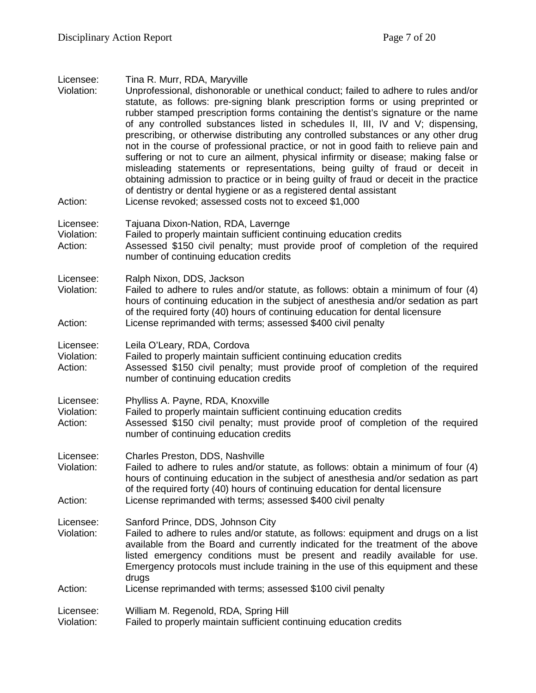| Licensee:<br>Violation:<br>Action: | Tina R. Murr, RDA, Maryville<br>Unprofessional, dishonorable or unethical conduct; failed to adhere to rules and/or<br>statute, as follows: pre-signing blank prescription forms or using preprinted or<br>rubber stamped prescription forms containing the dentist's signature or the name<br>of any controlled substances listed in schedules II, III, IV and V; dispensing,<br>prescribing, or otherwise distributing any controlled substances or any other drug<br>not in the course of professional practice, or not in good faith to relieve pain and<br>suffering or not to cure an ailment, physical infirmity or disease; making false or<br>misleading statements or representations, being guilty of fraud or deceit in<br>obtaining admission to practice or in being guilty of fraud or deceit in the practice<br>of dentistry or dental hygiene or as a registered dental assistant<br>License revoked; assessed costs not to exceed \$1,000 |
|------------------------------------|-------------------------------------------------------------------------------------------------------------------------------------------------------------------------------------------------------------------------------------------------------------------------------------------------------------------------------------------------------------------------------------------------------------------------------------------------------------------------------------------------------------------------------------------------------------------------------------------------------------------------------------------------------------------------------------------------------------------------------------------------------------------------------------------------------------------------------------------------------------------------------------------------------------------------------------------------------------|
|                                    |                                                                                                                                                                                                                                                                                                                                                                                                                                                                                                                                                                                                                                                                                                                                                                                                                                                                                                                                                             |
| Licensee:<br>Violation:<br>Action: | Tajuana Dixon-Nation, RDA, Lavernge<br>Failed to properly maintain sufficient continuing education credits<br>Assessed \$150 civil penalty; must provide proof of completion of the required<br>number of continuing education credits                                                                                                                                                                                                                                                                                                                                                                                                                                                                                                                                                                                                                                                                                                                      |
| Licensee:<br>Violation:<br>Action: | Ralph Nixon, DDS, Jackson<br>Failed to adhere to rules and/or statute, as follows: obtain a minimum of four (4)<br>hours of continuing education in the subject of anesthesia and/or sedation as part<br>of the required forty (40) hours of continuing education for dental licensure<br>License reprimanded with terms; assessed \$400 civil penalty                                                                                                                                                                                                                                                                                                                                                                                                                                                                                                                                                                                                      |
|                                    |                                                                                                                                                                                                                                                                                                                                                                                                                                                                                                                                                                                                                                                                                                                                                                                                                                                                                                                                                             |
| Licensee:<br>Violation:<br>Action: | Leila O'Leary, RDA, Cordova<br>Failed to properly maintain sufficient continuing education credits<br>Assessed \$150 civil penalty; must provide proof of completion of the required<br>number of continuing education credits                                                                                                                                                                                                                                                                                                                                                                                                                                                                                                                                                                                                                                                                                                                              |
| Licensee:<br>Violation:<br>Action: | Phylliss A. Payne, RDA, Knoxville<br>Failed to properly maintain sufficient continuing education credits<br>Assessed \$150 civil penalty; must provide proof of completion of the required<br>number of continuing education credits                                                                                                                                                                                                                                                                                                                                                                                                                                                                                                                                                                                                                                                                                                                        |
| Licensee:<br>Violation:<br>Action: | Charles Preston, DDS, Nashville<br>Failed to adhere to rules and/or statute, as follows: obtain a minimum of four (4)<br>hours of continuing education in the subject of anesthesia and/or sedation as part<br>of the required forty (40) hours of continuing education for dental licensure<br>License reprimanded with terms; assessed \$400 civil penalty                                                                                                                                                                                                                                                                                                                                                                                                                                                                                                                                                                                                |
|                                    |                                                                                                                                                                                                                                                                                                                                                                                                                                                                                                                                                                                                                                                                                                                                                                                                                                                                                                                                                             |
| Licensee:<br>Violation:            | Sanford Prince, DDS, Johnson City<br>Failed to adhere to rules and/or statute, as follows: equipment and drugs on a list<br>available from the Board and currently indicated for the treatment of the above<br>listed emergency conditions must be present and readily available for use.<br>Emergency protocols must include training in the use of this equipment and these<br>drugs                                                                                                                                                                                                                                                                                                                                                                                                                                                                                                                                                                      |
| Action:                            | License reprimanded with terms; assessed \$100 civil penalty                                                                                                                                                                                                                                                                                                                                                                                                                                                                                                                                                                                                                                                                                                                                                                                                                                                                                                |
| Licensee:<br>Violation:            | William M. Regenold, RDA, Spring Hill<br>Failed to properly maintain sufficient continuing education credits                                                                                                                                                                                                                                                                                                                                                                                                                                                                                                                                                                                                                                                                                                                                                                                                                                                |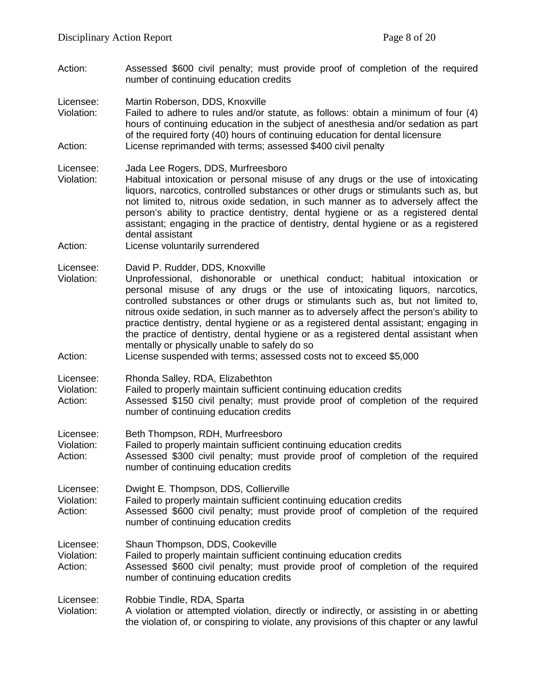Action: Assessed \$600 civil penalty; must provide proof of completion of the required number of continuing education credits

Licensee: Martin Roberson, DDS, Knoxville

Violation: Failed to adhere to rules and/or statute, as follows: obtain a minimum of four (4) hours of continuing education in the subject of anesthesia and/or sedation as part of the required forty (40) hours of continuing education for dental licensure Action: License reprimanded with terms; assessed \$400 civil penalty

Licensee: Jada Lee Rogers, DDS, Murfreesboro<br>Violation: Habitual intoxication or personal misu

- Habitual intoxication or personal misuse of any drugs or the use of intoxicating liquors, narcotics, controlled substances or other drugs or stimulants such as, but not limited to, nitrous oxide sedation, in such manner as to adversely affect the person's ability to practice dentistry, dental hygiene or as a registered dental assistant; engaging in the practice of dentistry, dental hygiene or as a registered dental assistant
- Action: License voluntarily surrendered

Licensee: David P. Rudder, DDS, Knoxville

- Violation: Unprofessional, dishonorable or unethical conduct; habitual intoxication or personal misuse of any drugs or the use of intoxicating liquors, narcotics, controlled substances or other drugs or stimulants such as, but not limited to, nitrous oxide sedation, in such manner as to adversely affect the person's ability to practice dentistry, dental hygiene or as a registered dental assistant; engaging in the practice of dentistry, dental hygiene or as a registered dental assistant when mentally or physically unable to safely do so
- Action: License suspended with terms; assessed costs not to exceed \$5,000
- Licensee: Rhonda Salley, RDA, Elizabethton
- Violation: Failed to properly maintain sufficient continuing education credits
- Action: Assessed \$150 civil penalty; must provide proof of completion of the required number of continuing education credits
- Licensee: Beth Thompson, RDH, Murfreesboro
- Violation: Failed to properly maintain sufficient continuing education credits
- Action: Assessed \$300 civil penalty; must provide proof of completion of the required number of continuing education credits
- Licensee: Dwight E. Thompson, DDS, Collierville
- Violation: Failed to properly maintain sufficient continuing education credits
- Action: Assessed \$600 civil penalty; must provide proof of completion of the required number of continuing education credits
- Licensee: Shaun Thompson, DDS, Cookeville
- Violation: Failed to properly maintain sufficient continuing education credits
- Action: Assessed \$600 civil penalty; must provide proof of completion of the required number of continuing education credits

Licensee: Robbie Tindle, RDA, Sparta

Violation: A violation or attempted violation, directly or indirectly, or assisting in or abetting the violation of, or conspiring to violate, any provisions of this chapter or any lawful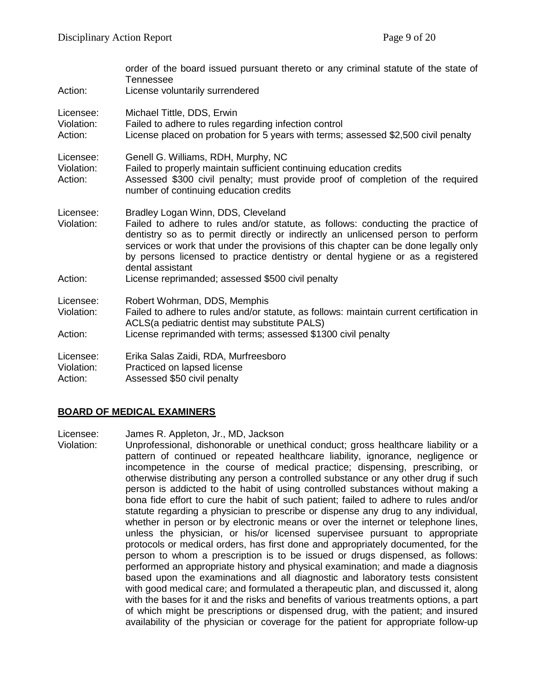| Action:                            | order of the board issued pursuant thereto or any criminal statute of the state of<br>Tennessee<br>License voluntarily surrendered                                                                                                                                                                                                                                                                                                                           |
|------------------------------------|--------------------------------------------------------------------------------------------------------------------------------------------------------------------------------------------------------------------------------------------------------------------------------------------------------------------------------------------------------------------------------------------------------------------------------------------------------------|
| Licensee:<br>Violation:<br>Action: | Michael Tittle, DDS, Erwin<br>Failed to adhere to rules regarding infection control<br>License placed on probation for 5 years with terms; assessed \$2,500 civil penalty                                                                                                                                                                                                                                                                                    |
| Licensee:<br>Violation:<br>Action: | Genell G. Williams, RDH, Murphy, NC<br>Failed to properly maintain sufficient continuing education credits<br>Assessed \$300 civil penalty; must provide proof of completion of the required<br>number of continuing education credits                                                                                                                                                                                                                       |
| Licensee:<br>Violation:<br>Action: | Bradley Logan Winn, DDS, Cleveland<br>Failed to adhere to rules and/or statute, as follows: conducting the practice of<br>dentistry so as to permit directly or indirectly an unlicensed person to perform<br>services or work that under the provisions of this chapter can be done legally only<br>by persons licensed to practice dentistry or dental hygiene or as a registered<br>dental assistant<br>License reprimanded; assessed \$500 civil penalty |
|                                    |                                                                                                                                                                                                                                                                                                                                                                                                                                                              |
| Licensee:<br>Violation:            | Robert Wohrman, DDS, Memphis<br>Failed to adhere to rules and/or statute, as follows: maintain current certification in<br>ACLS(a pediatric dentist may substitute PALS)                                                                                                                                                                                                                                                                                     |
| Action:                            | License reprimanded with terms; assessed \$1300 civil penalty                                                                                                                                                                                                                                                                                                                                                                                                |
| Licensee:<br>Violation:<br>Action: | Erika Salas Zaidi, RDA, Murfreesboro<br>Practiced on lapsed license<br>Assessed \$50 civil penalty                                                                                                                                                                                                                                                                                                                                                           |

## **BOARD OF MEDICAL EXAMINERS**

Licensee: James R. Appleton, Jr., MD, Jackson

Violation: Unprofessional, dishonorable or unethical conduct; gross healthcare liability or a pattern of continued or repeated healthcare liability, ignorance, negligence or incompetence in the course of medical practice; dispensing, prescribing, or otherwise distributing any person a controlled substance or any other drug if such person is addicted to the habit of using controlled substances without making a bona fide effort to cure the habit of such patient; failed to adhere to rules and/or statute regarding a physician to prescribe or dispense any drug to any individual, whether in person or by electronic means or over the internet or telephone lines, unless the physician, or his/or licensed supervisee pursuant to appropriate protocols or medical orders, has first done and appropriately documented, for the person to whom a prescription is to be issued or drugs dispensed, as follows: performed an appropriate history and physical examination; and made a diagnosis based upon the examinations and all diagnostic and laboratory tests consistent with good medical care; and formulated a therapeutic plan, and discussed it, along with the bases for it and the risks and benefits of various treatments options, a part of which might be prescriptions or dispensed drug, with the patient; and insured availability of the physician or coverage for the patient for appropriate follow-up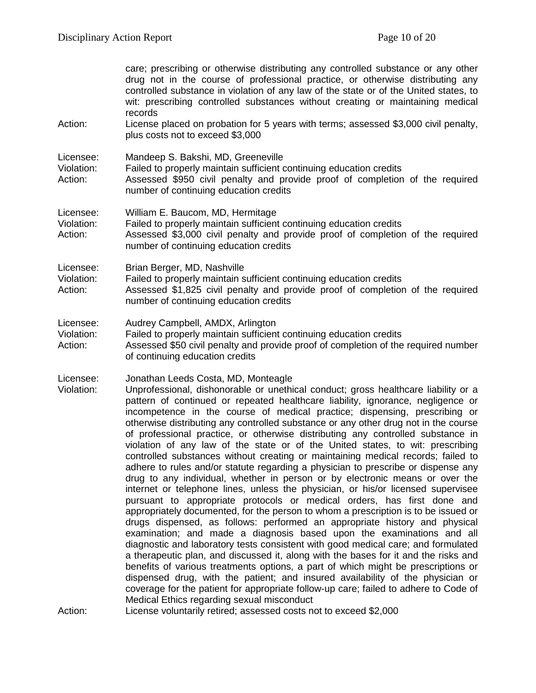care; prescribing or otherwise distributing any controlled substance or any other drug not in the course of professional practice, or otherwise distributing any controlled substance in violation of any law of the state or of the United states, to wit: prescribing controlled substances without creating or maintaining medical records Action: License placed on probation for 5 years with terms; assessed \$3,000 civil penalty, plus costs not to exceed \$3,000 Licensee: Mandeep S. Bakshi, MD, Greeneville<br>Violation: Failed to properly maintain sufficient of Violation: Failed to properly maintain sufficient continuing education credits<br>Action: Assessed \$950 civil penalty and provide proof of completion Assessed \$950 civil penalty and provide proof of completion of the required number of continuing education credits Licensee: William E. Baucom, MD, Hermitage Violation: Failed to properly maintain sufficient continuing education credits Action: Assessed \$3,000 civil penalty and provide proof of completion of the required number of continuing education credits Licensee: Brian Berger, MD, Nashville Violation: Failed to properly maintain sufficient continuing education credits Action: Assessed \$1,825 civil penalty and provide proof of completion of the required number of continuing education credits Licensee: Audrey Campbell, AMDX, Arlington<br>Violation: Failed to properly maintain sufficient Failed to properly maintain sufficient continuing education credits Action: Assessed \$50 civil penalty and provide proof of completion of the required number of continuing education credits Licensee: Jonathan Leeds Costa, MD, Monteagle Violation: Unprofessional, dishonorable or unethical conduct; gross healthcare liability or a pattern of continued or repeated healthcare liability, ignorance, negligence or incompetence in the course of medical practice; dispensing, prescribing or otherwise distributing any controlled substance or any other drug not in the course of professional practice, or otherwise distributing any controlled substance in violation of any law of the state or of the United states, to wit: prescribing controlled substances without creating or maintaining medical records; failed to adhere to rules and/or statute regarding a physician to prescribe or dispense any drug to any individual, whether in person or by electronic means or over the internet or telephone lines, unless the physician, or his/or licensed supervisee pursuant to appropriate protocols or medical orders, has first done and appropriately documented, for the person to whom a prescription is to be issued or drugs dispensed, as follows: performed an appropriate history and physical examination; and made a diagnosis based upon the examinations and all diagnostic and laboratory tests consistent with good medical care; and formulated a therapeutic plan, and discussed it, along with the bases for it and the risks and benefits of various treatments options, a part of which might be prescriptions or dispensed drug, with the patient; and insured availability of the physician or coverage for the patient for appropriate follow-up care; failed to adhere to Code of Medical Ethics regarding sexual misconduct Action: License voluntarily retired; assessed costs not to exceed \$2,000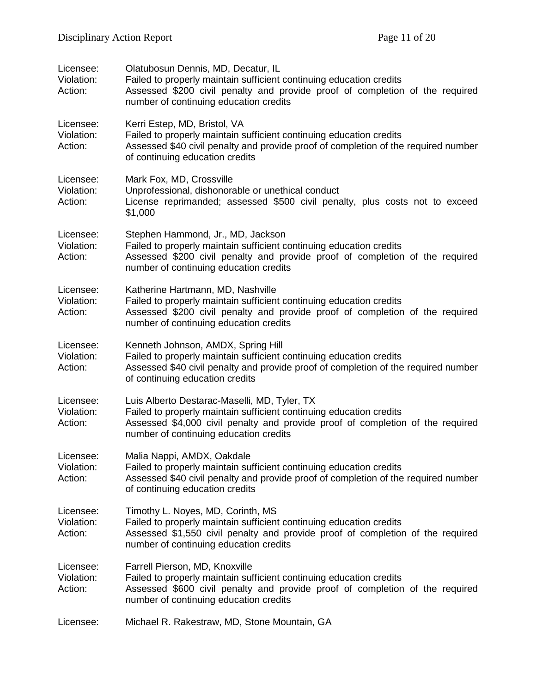| Licensee:<br>Violation:<br>Action: | Olatubosun Dennis, MD, Decatur, IL<br>Failed to properly maintain sufficient continuing education credits<br>Assessed \$200 civil penalty and provide proof of completion of the required<br>number of continuing education credits             |
|------------------------------------|-------------------------------------------------------------------------------------------------------------------------------------------------------------------------------------------------------------------------------------------------|
| Licensee:<br>Violation:<br>Action: | Kerri Estep, MD, Bristol, VA<br>Failed to properly maintain sufficient continuing education credits<br>Assessed \$40 civil penalty and provide proof of completion of the required number<br>of continuing education credits                    |
| Licensee:<br>Violation:<br>Action: | Mark Fox, MD, Crossville<br>Unprofessional, dishonorable or unethical conduct<br>License reprimanded; assessed \$500 civil penalty, plus costs not to exceed<br>\$1,000                                                                         |
| Licensee:<br>Violation:<br>Action: | Stephen Hammond, Jr., MD, Jackson<br>Failed to properly maintain sufficient continuing education credits<br>Assessed \$200 civil penalty and provide proof of completion of the required<br>number of continuing education credits              |
| Licensee:<br>Violation:<br>Action: | Katherine Hartmann, MD, Nashville<br>Failed to properly maintain sufficient continuing education credits<br>Assessed \$200 civil penalty and provide proof of completion of the required<br>number of continuing education credits              |
| Licensee:<br>Violation:<br>Action: | Kenneth Johnson, AMDX, Spring Hill<br>Failed to properly maintain sufficient continuing education credits<br>Assessed \$40 civil penalty and provide proof of completion of the required number<br>of continuing education credits              |
| Licensee:<br>Violation:<br>Action: | Luis Alberto Destarac-Maselli, MD, Tyler, TX<br>Failed to properly maintain sufficient continuing education credits<br>Assessed \$4,000 civil penalty and provide proof of completion of the required<br>number of continuing education credits |
| Licensee:<br>Violation:<br>Action: | Malia Nappi, AMDX, Oakdale<br>Failed to properly maintain sufficient continuing education credits<br>Assessed \$40 civil penalty and provide proof of completion of the required number<br>of continuing education credits                      |
| Licensee:<br>Violation:<br>Action: | Timothy L. Noyes, MD, Corinth, MS<br>Failed to properly maintain sufficient continuing education credits<br>Assessed \$1,550 civil penalty and provide proof of completion of the required<br>number of continuing education credits            |
| Licensee:<br>Violation:<br>Action: | Farrell Pierson, MD, Knoxville<br>Failed to properly maintain sufficient continuing education credits<br>Assessed \$600 civil penalty and provide proof of completion of the required<br>number of continuing education credits                 |
| Licensee:                          | Michael R. Rakestraw, MD, Stone Mountain, GA                                                                                                                                                                                                    |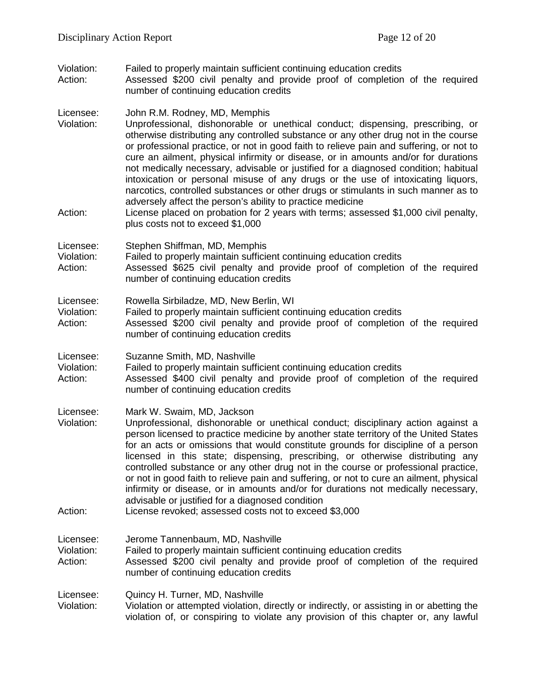Violation: Failed to properly maintain sufficient continuing education credits<br>Action: Assessed \$200 civil penalty and provide proof of completion

Assessed \$200 civil penalty and provide proof of completion of the required number of continuing education credits

Licensee: John R.M. Rodney, MD, Memphis

- Violation: Unprofessional, dishonorable or unethical conduct; dispensing, prescribing, or otherwise distributing any controlled substance or any other drug not in the course or professional practice, or not in good faith to relieve pain and suffering, or not to cure an ailment, physical infirmity or disease, or in amounts and/or for durations not medically necessary, advisable or justified for a diagnosed condition; habitual intoxication or personal misuse of any drugs or the use of intoxicating liquors, narcotics, controlled substances or other drugs or stimulants in such manner as to adversely affect the person's ability to practice medicine
- Action: License placed on probation for 2 years with terms; assessed \$1,000 civil penalty, plus costs not to exceed \$1,000

Licensee: Stephen Shiffman, MD, Memphis<br>Violation: Failed to properly maintain sufficie

Failed to properly maintain sufficient continuing education credits

Action: Assessed \$625 civil penalty and provide proof of completion of the required number of continuing education credits

Licensee: Rowella Sirbiladze, MD, New Berlin, WI

- Violation: Failed to properly maintain sufficient continuing education credits<br>Action: Assessed \$200 civil penalty and provide proof of completion
- Assessed \$200 civil penalty and provide proof of completion of the required number of continuing education credits

Licensee: Suzanne Smith, MD, Nashville

Violation: Failed to properly maintain sufficient continuing education credits

Action: Assessed \$400 civil penalty and provide proof of completion of the required number of continuing education credits

Licensee: Mark W. Swaim, MD, Jackson<br>Violation: Unprofessional. dishonorable

- Unprofessional, dishonorable or unethical conduct; disciplinary action against a person licensed to practice medicine by another state territory of the United States for an acts or omissions that would constitute grounds for discipline of a person licensed in this state; dispensing, prescribing, or otherwise distributing any controlled substance or any other drug not in the course or professional practice, or not in good faith to relieve pain and suffering, or not to cure an ailment, physical infirmity or disease, or in amounts and/or for durations not medically necessary, advisable or justified for a diagnosed condition
- Action: License revoked; assessed costs not to exceed \$3,000

Licensee: Jerome Tannenbaum, MD, Nashville

Violation: Failed to properly maintain sufficient continuing education credits

Action: Assessed \$200 civil penalty and provide proof of completion of the required number of continuing education credits

Licensee: Quincy H. Turner, MD, Nashville

Violation: Violation or attempted violation, directly or indirectly, or assisting in or abetting the violation of, or conspiring to violate any provision of this chapter or, any lawful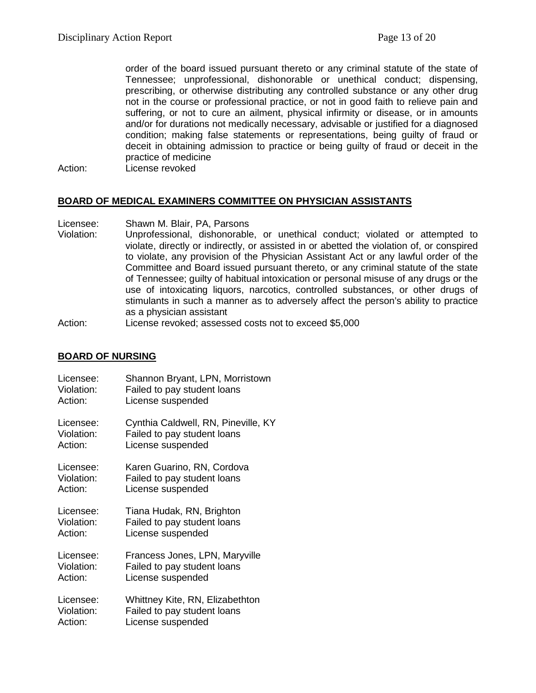order of the board issued pursuant thereto or any criminal statute of the state of Tennessee; unprofessional, dishonorable or unethical conduct; dispensing, prescribing, or otherwise distributing any controlled substance or any other drug not in the course or professional practice, or not in good faith to relieve pain and suffering, or not to cure an ailment, physical infirmity or disease, or in amounts and/or for durations not medically necessary, advisable or justified for a diagnosed condition; making false statements or representations, being guilty of fraud or deceit in obtaining admission to practice or being guilty of fraud or deceit in the practice of medicine

Action: License revoked

#### **BOARD OF MEDICAL EXAMINERS COMMITTEE ON PHYSICIAN ASSISTANTS**

- Licensee: Shawn M. Blair, PA, Parsons
- Violation: Unprofessional, dishonorable, or unethical conduct; violated or attempted to violate, directly or indirectly, or assisted in or abetted the violation of, or conspired to violate, any provision of the Physician Assistant Act or any lawful order of the Committee and Board issued pursuant thereto, or any criminal statute of the state of Tennessee; guilty of habitual intoxication or personal misuse of any drugs or the use of intoxicating liquors, narcotics, controlled substances, or other drugs of stimulants in such a manner as to adversely affect the person's ability to practice as a physician assistant

Action: License revoked; assessed costs not to exceed \$5,000

#### **BOARD OF NURSING**

| Licensee:  | Shannon Bryant, LPN, Morristown     |
|------------|-------------------------------------|
| Violation: | Failed to pay student loans         |
| Action:    | License suspended                   |
| Licensee:  | Cynthia Caldwell, RN, Pineville, KY |
| Violation: | Failed to pay student loans         |
| Action:    | License suspended                   |
| Licensee:  | Karen Guarino, RN, Cordova          |
| Violation: | Failed to pay student loans         |
| Action:    | License suspended                   |
| Licensee:  | Tiana Hudak, RN, Brighton           |
| Violation: | Failed to pay student loans         |
| Action:    | License suspended                   |
| Licensee:  | Francess Jones, LPN, Maryville      |
| Violation: | Failed to pay student loans         |
| Action:    | License suspended                   |
| Licensee:  | Whittney Kite, RN, Elizabethton     |
| Violation: | Failed to pay student loans         |
| Action:    | License suspended                   |
|            |                                     |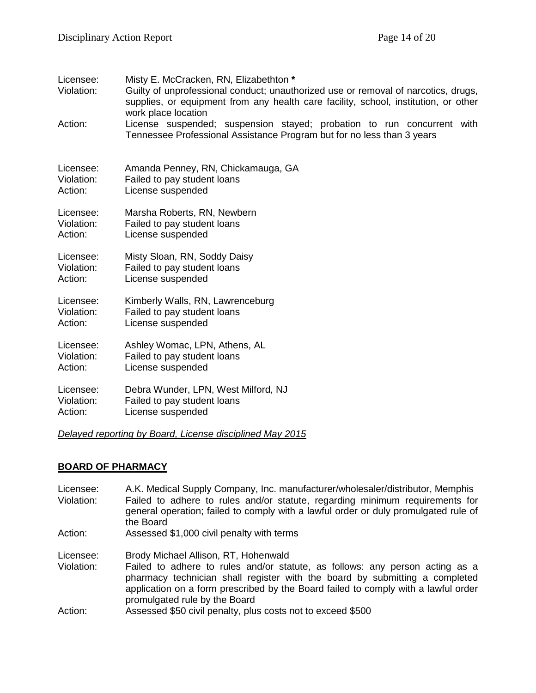| Licensee:<br>Violation: | Misty E. McCracken, RN, Elizabethton *<br>Guilty of unprofessional conduct; unauthorized use or removal of narcotics, drugs,<br>supplies, or equipment from any health care facility, school, institution, or other<br>work place location |
|-------------------------|--------------------------------------------------------------------------------------------------------------------------------------------------------------------------------------------------------------------------------------------|
| Action:                 | License suspended; suspension stayed; probation to run concurrent with<br>Tennessee Professional Assistance Program but for no less than 3 years                                                                                           |
| Licensee:               | Amanda Penney, RN, Chickamauga, GA                                                                                                                                                                                                         |
| Violation:              | Failed to pay student loans                                                                                                                                                                                                                |
| Action:                 | License suspended                                                                                                                                                                                                                          |
| Licensee:               | Marsha Roberts, RN, Newbern                                                                                                                                                                                                                |
| Violation:              | Failed to pay student loans                                                                                                                                                                                                                |
| Action:                 | License suspended                                                                                                                                                                                                                          |
| Licensee:               | Misty Sloan, RN, Soddy Daisy                                                                                                                                                                                                               |
| Violation:              | Failed to pay student loans                                                                                                                                                                                                                |
| Action:                 | License suspended                                                                                                                                                                                                                          |
| Licensee:               | Kimberly Walls, RN, Lawrenceburg                                                                                                                                                                                                           |
| Violation:              | Failed to pay student loans                                                                                                                                                                                                                |
| Action:                 | License suspended                                                                                                                                                                                                                          |
| Licensee:               | Ashley Womac, LPN, Athens, AL                                                                                                                                                                                                              |
| Violation:              | Failed to pay student loans                                                                                                                                                                                                                |
| Action:                 | License suspended                                                                                                                                                                                                                          |
| Licensee:               | Debra Wunder, LPN, West Milford, NJ                                                                                                                                                                                                        |
| Violation:              | Failed to pay student loans                                                                                                                                                                                                                |
| Action:                 | License suspended                                                                                                                                                                                                                          |
|                         | Delayed reporting by Board, License disciplined May 2015                                                                                                                                                                                   |

#### **BOARD OF PHARMACY**

Licensee: A.K. Medical Supply Company, Inc. manufacturer/wholesaler/distributor, Memphis Violation: Failed to adhere to rules and/or statute, regarding minimum requirements for general operation; failed to comply with a lawful order or duly promulgated rule of the Board Action: Assessed \$1,000 civil penalty with terms

Licensee: Brody Michael Allison, RT, Hohenwald

- Violation: Failed to adhere to rules and/or statute, as follows: any person acting as a pharmacy technician shall register with the board by submitting a completed application on a form prescribed by the Board failed to comply with a lawful order promulgated rule by the Board
- Action: Assessed \$50 civil penalty, plus costs not to exceed \$500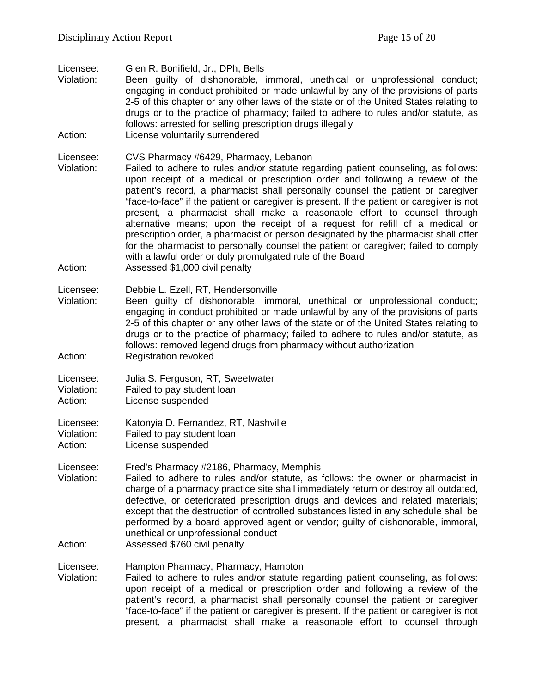Licensee: Glen R. Bonifield, Jr., DPh, Bells<br>Violation: Been quilty of dishonorable.

- Been guilty of dishonorable, immoral, unethical or unprofessional conduct; engaging in conduct prohibited or made unlawful by any of the provisions of parts 2-5 of this chapter or any other laws of the state or of the United States relating to drugs or to the practice of pharmacy; failed to adhere to rules and/or statute, as follows: arrested for selling prescription drugs illegally
- Action: License voluntarily surrendered

Licensee: CVS Pharmacy #6429, Pharmacy, Lebanon<br>Violation: Failed to adhere to rules and/or statute rec

- Failed to adhere to rules and/or statute regarding patient counseling, as follows: upon receipt of a medical or prescription order and following a review of the patient's record, a pharmacist shall personally counsel the patient or caregiver "face-to-face" if the patient or caregiver is present. If the patient or caregiver is not present, a pharmacist shall make a reasonable effort to counsel through alternative means; upon the receipt of a request for refill of a medical or prescription order, a pharmacist or person designated by the pharmacist shall offer for the pharmacist to personally counsel the patient or caregiver; failed to comply with a lawful order or duly promulgated rule of the Board
- Action: Assessed \$1,000 civil penalty
- Licensee: Debbie L. Ezell, RT, Hendersonville
- Violation: Been guilty of dishonorable, immoral, unethical or unprofessional conduct;; engaging in conduct prohibited or made unlawful by any of the provisions of parts 2-5 of this chapter or any other laws of the state or of the United States relating to drugs or to the practice of pharmacy; failed to adhere to rules and/or statute, as follows: removed legend drugs from pharmacy without authorization Action: Registration revoked

Licensee: Julia S. Ferguson, RT, Sweetwater

Violation: Failed to pay student loan

Action: License suspended

Licensee: Katonyia D. Fernandez, RT, Nashville

Violation: Failed to pay student loan

Action: License suspended

Licensee: Fred's Pharmacy #2186, Pharmacy, Memphis

- Violation: Failed to adhere to rules and/or statute, as follows: the owner or pharmacist in charge of a pharmacy practice site shall immediately return or destroy all outdated, defective, or deteriorated prescription drugs and devices and related materials; except that the destruction of controlled substances listed in any schedule shall be performed by a board approved agent or vendor; guilty of dishonorable, immoral, unethical or unprofessional conduct
- Action: Assessed \$760 civil penalty

Licensee: Hampton Pharmacy, Pharmacy, Hampton<br>Violation: Failed to adhere to rules and/or statute re

Failed to adhere to rules and/or statute regarding patient counseling, as follows: upon receipt of a medical or prescription order and following a review of the patient's record, a pharmacist shall personally counsel the patient or caregiver "face-to-face" if the patient or caregiver is present. If the patient or caregiver is not present, a pharmacist shall make a reasonable effort to counsel through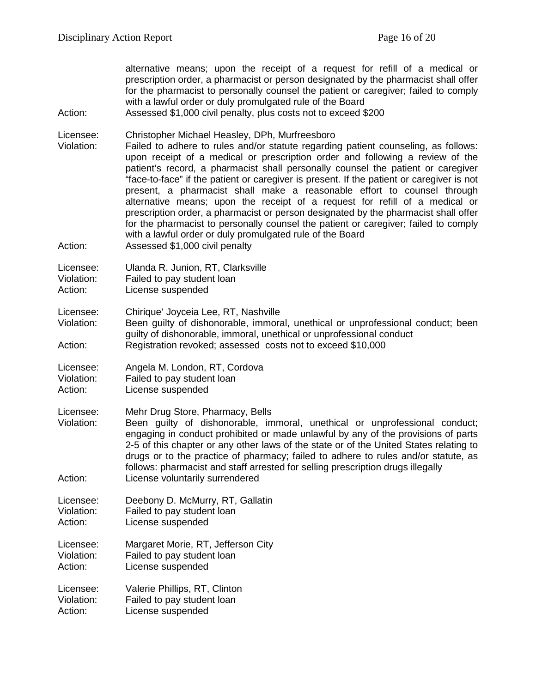alternative means; upon the receipt of a request for refill of a medical or prescription order, a pharmacist or person designated by the pharmacist shall offer for the pharmacist to personally counsel the patient or caregiver; failed to comply with a lawful order or duly promulgated rule of the Board

#### Action: Assessed \$1,000 civil penalty, plus costs not to exceed \$200

Licensee: Christopher Michael Heasley, DPh, Murfreesboro

Violation: Failed to adhere to rules and/or statute regarding patient counseling, as follows: upon receipt of a medical or prescription order and following a review of the patient's record, a pharmacist shall personally counsel the patient or caregiver "face-to-face" if the patient or caregiver is present. If the patient or caregiver is not present, a pharmacist shall make a reasonable effort to counsel through alternative means; upon the receipt of a request for refill of a medical or prescription order, a pharmacist or person designated by the pharmacist shall offer for the pharmacist to personally counsel the patient or caregiver; failed to comply with a lawful order or duly promulgated rule of the Board

Action: Assessed \$1,000 civil penalty

Licensee: Ulanda R. Junion, RT, Clarksville

Violation: Failed to pay student loan

Action: License suspended

Licensee: Chirique' Joyceia Lee, RT, Nashville

Been quilty of dishonorable, immoral, unethical or unprofessional conduct; been guilty of dishonorable, immoral, unethical or unprofessional conduct Action: Registration revoked; assessed costs not to exceed \$10,000

Licensee: Angela M. London, RT, Cordova

Violation: Failed to pay student loan

Action: License suspended

Licensee: Mehr Drug Store, Pharmacy, Bells<br>Violation: Been quilty of dishonorable. im

Been guilty of dishonorable, immoral, unethical or unprofessional conduct; engaging in conduct prohibited or made unlawful by any of the provisions of parts 2-5 of this chapter or any other laws of the state or of the United States relating to drugs or to the practice of pharmacy; failed to adhere to rules and/or statute, as follows: pharmacist and staff arrested for selling prescription drugs illegally Action: License voluntarily surrendered

Licensee: Deebony D. McMurry, RT, Gallatin Violation: Failed to pay student loan Action: License suspended

Licensee: Margaret Morie, RT, Jefferson City Violation: Failed to pay student loan Action: License suspended

Licensee: Valerie Phillips, RT, Clinton Violation: Failed to pay student loan

Action: License suspended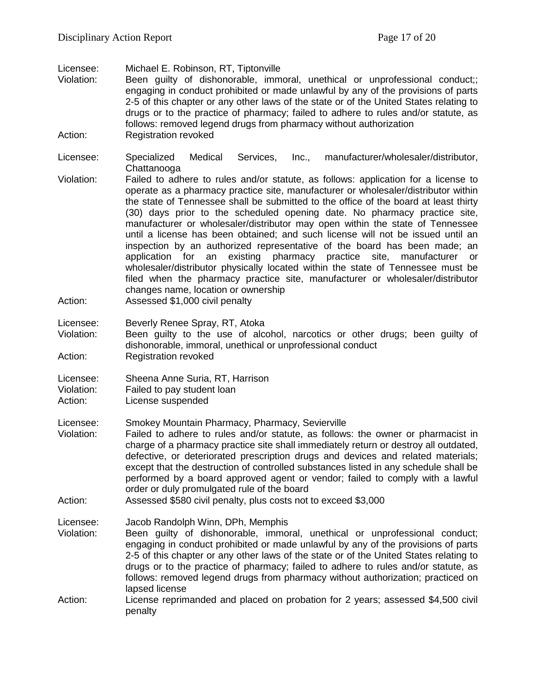Licensee: Michael E. Robinson, RT, Tiptonville

- Been guilty of dishonorable, immoral, unethical or unprofessional conduct;; engaging in conduct prohibited or made unlawful by any of the provisions of parts 2-5 of this chapter or any other laws of the state or of the United States relating to drugs or to the practice of pharmacy; failed to adhere to rules and/or statute, as follows: removed legend drugs from pharmacy without authorization Action: Registration revoked
- Licensee: Specialized Medical Services, Inc., manufacturer/wholesaler/distributor, **Chattanooga**
- Violation: Failed to adhere to rules and/or statute, as follows: application for a license to operate as a pharmacy practice site, manufacturer or wholesaler/distributor within the state of Tennessee shall be submitted to the office of the board at least thirty (30) days prior to the scheduled opening date. No pharmacy practice site, manufacturer or wholesaler/distributor may open within the state of Tennessee until a license has been obtained; and such license will not be issued until an inspection by an authorized representative of the board has been made; an application for an existing pharmacy practice site, manufacturer or wholesaler/distributor physically located within the state of Tennessee must be filed when the pharmacy practice site, manufacturer or wholesaler/distributor changes name, location or ownership
- Action: Assessed \$1,000 civil penalty
- Licensee: Beverly Renee Spray, RT, Atoka<br>Violation: Been quilty to the use of alco
- Been guilty to the use of alcohol, narcotics or other drugs; been guilty of dishonorable, immoral, unethical or unprofessional conduct Action: Registration revoked
- Licensee: Sheena Anne Suria, RT, Harrison
- Violation: Failed to pay student loan
- Action: License suspended

Licensee: Smokey Mountain Pharmacy, Pharmacy, Sevierville

- Violation: Failed to adhere to rules and/or statute, as follows: the owner or pharmacist in charge of a pharmacy practice site shall immediately return or destroy all outdated, defective, or deteriorated prescription drugs and devices and related materials; except that the destruction of controlled substances listed in any schedule shall be performed by a board approved agent or vendor; failed to comply with a lawful order or duly promulgated rule of the board
- Action: Assessed \$580 civil penalty, plus costs not to exceed \$3,000
- Licensee: Jacob Randolph Winn, DPh, Memphis
- Violation: Been guilty of dishonorable, immoral, unethical or unprofessional conduct; engaging in conduct prohibited or made unlawful by any of the provisions of parts 2-5 of this chapter or any other laws of the state or of the United States relating to drugs or to the practice of pharmacy; failed to adhere to rules and/or statute, as follows: removed legend drugs from pharmacy without authorization; practiced on lapsed license
- Action: License reprimanded and placed on probation for 2 years; assessed \$4,500 civil penalty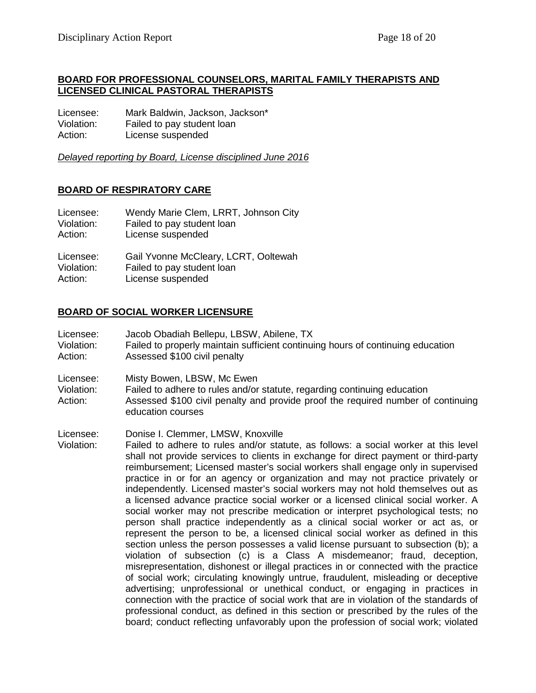#### **BOARD FOR PROFESSIONAL COUNSELORS, MARITAL FAMILY THERAPISTS AND LICENSED CLINICAL PASTORAL THERAPISTS**

Licensee: Mark Baldwin, Jackson, Jackson\* Violation: Failed to pay student loan Action: License suspended

*Delayed reporting by Board, License disciplined June 2016*

## **BOARD OF RESPIRATORY CARE**

| Licensee:  | Wendy Marie Clem, LRRT, Johnson City |
|------------|--------------------------------------|
| Violation: | Failed to pay student loan           |
| Action:    | License suspended                    |
|            |                                      |

Licensee: Gail Yvonne McCleary, LCRT, Ooltewah Violation: Failed to pay student loan Action: License suspended

#### **BOARD OF SOCIAL WORKER LICENSURE**

- Licensee: Jacob Obadiah Bellepu, LBSW, Abilene, TX
- Violation: Failed to properly maintain sufficient continuing hours of continuing education Action: Assessed \$100 civil penalty
- Licensee: Misty Bowen, LBSW, Mc Ewen
- Violation: Failed to adhere to rules and/or statute, regarding continuing education Action: Assessed \$100 civil penalty and provide proof the required number of continuing education courses
- Licensee: Donise I. Clemmer, LMSW, Knoxville
- Violation: Failed to adhere to rules and/or statute, as follows: a social worker at this level shall not provide services to clients in exchange for direct payment or third-party reimbursement; Licensed master's social workers shall engage only in supervised practice in or for an agency or organization and may not practice privately or independently. Licensed master's social workers may not hold themselves out as a licensed advance practice social worker or a licensed clinical social worker. A social worker may not prescribe medication or interpret psychological tests; no person shall practice independently as a clinical social worker or act as, or represent the person to be, a licensed clinical social worker as defined in this section unless the person possesses a valid license pursuant to subsection (b); a violation of subsection (c) is a Class A misdemeanor; fraud, deception, misrepresentation, dishonest or illegal practices in or connected with the practice of social work; circulating knowingly untrue, fraudulent, misleading or deceptive advertising; unprofessional or unethical conduct, or engaging in practices in connection with the practice of social work that are in violation of the standards of professional conduct, as defined in this section or prescribed by the rules of the board; conduct reflecting unfavorably upon the profession of social work; violated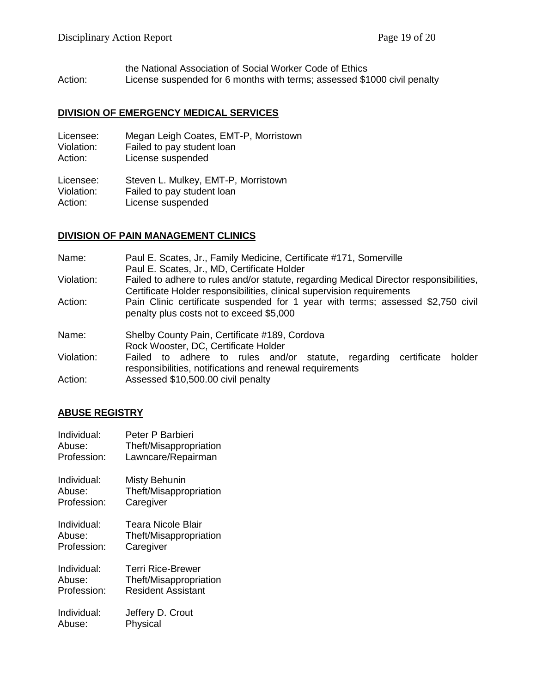the National Association of Social Worker Code of Ethics Action: License suspended for 6 months with terms; assessed \$1000 civil penalty

#### **DIVISION OF EMERGENCY MEDICAL SERVICES**

| Licensee:  | Megan Leigh Coates, EMT-P, Morristown |
|------------|---------------------------------------|
| Violation: | Failed to pay student loan            |
| Action:    | License suspended                     |
|            |                                       |

Licensee: Steven L. Mulkey, EMT-P, Morristown<br>Violation: Failed to pay student loan Violation: Failed to pay student loan<br>Action: License suspended License suspended

#### **DIVISION OF PAIN MANAGEMENT CLINICS**

| Name:      | Paul E. Scates, Jr., Family Medicine, Certificate #171, Somerville<br>Paul E. Scates, Jr., MD, Certificate Holder                                                |  |  |
|------------|------------------------------------------------------------------------------------------------------------------------------------------------------------------|--|--|
| Violation: | Failed to adhere to rules and/or statute, regarding Medical Director responsibilities,<br>Certificate Holder responsibilities, clinical supervision requirements |  |  |
| Action:    | Pain Clinic certificate suspended for 1 year with terms; assessed \$2,750 civil<br>penalty plus costs not to exceed \$5,000                                      |  |  |
| Name:      | Shelby County Pain, Certificate #189, Cordova<br>Rock Wooster, DC, Certificate Holder                                                                            |  |  |
| Violation: | Failed to adhere to rules and/or statute, regarding<br>certificate<br>holder<br>responsibilities, notifications and renewal requirements                         |  |  |
| Action:    | Assessed \$10,500.00 civil penalty                                                                                                                               |  |  |

#### **ABUSE REGISTRY**

| Individual: | Peter P Barbieri       |
|-------------|------------------------|
| Abuse:      | Theft/Misappropriation |
| Profession: | Lawncare/Repairman     |
| Individual: | <b>Misty Behunin</b>   |
| Abuse:      | Theft/Misappropriation |
| Profession: | Caregiver              |
| Individual: | Teara Nicole Blair     |
| Abuse:      | Theft/Misappropriation |
| Profession: | Caregiver              |
| Individual: | Terri Rice-Brewer      |
| Abuse:      | Theft/Misappropriation |
| Profession: | Resident Assistant     |
| Individual: | Jeffery D. Crout       |
| Abuse:      | Physical               |